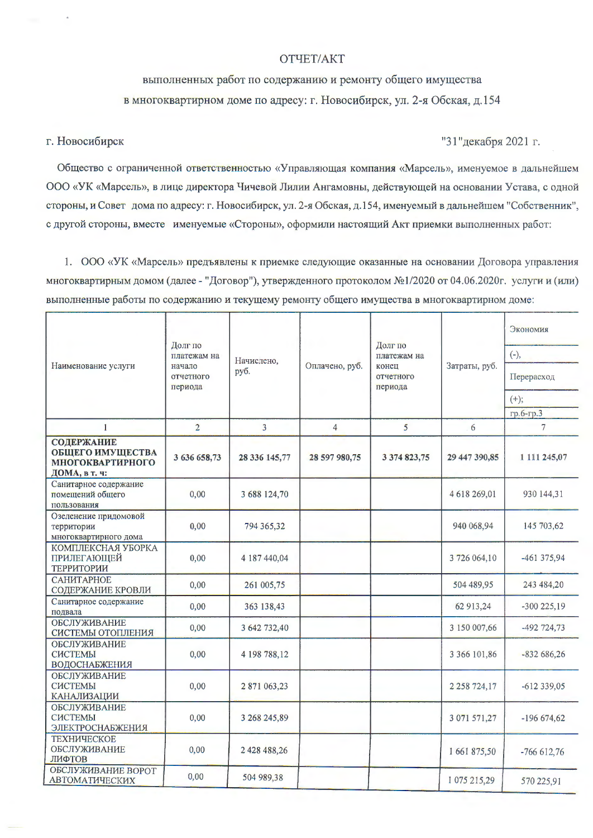## OTYET/AKT

## выполненных работ по содержанию и ремонту общего имущества в многоквартирном доме по адресу: г. Новосибирск, ул. 2-я Обская, д.154

## г. Новосибирск

## "31" декабря 2021 г.

Общество с ограниченной ответственностью «Управляющая компания «Марсель», именуемое в дальнейшем ООО «УК «Марсель», в лице директора Чичевой Лилии Ангамовны, действующей на основании Устава, с одной стороны, и Совет дома по адресу: г. Новосибирск, ул. 2-я Обская, д.154, именуемый в дальнейшем "Собственник", с другой стороны, вместе именуемые «Стороны», оформили настоящий Акт приемки выполненных работ:

1. ООО «УК «Марсель» предъявлены к приемке следующие оказанные на основании Договора управления многоквартирным домом (далее - "Договор"), утвержденного протоколом №1/2020 от 04.06.2020г. услуги и (или) выполненные работы по содержанию и текущему ремонту общего имущества в многоквартирном доме:

|                                                                                          | Долг по<br>платежам на<br>начало<br>отчетного<br>периода | Начислено,<br>руб. | Оплачено, руб. | Долг по<br>платежам на<br>конец<br>отчетного<br>периода | Затраты, руб.       | Экономия      |
|------------------------------------------------------------------------------------------|----------------------------------------------------------|--------------------|----------------|---------------------------------------------------------|---------------------|---------------|
| Наименование услуги                                                                      |                                                          |                    |                |                                                         |                     | $(-),$        |
|                                                                                          |                                                          |                    |                |                                                         |                     | Перерасход    |
|                                                                                          |                                                          |                    |                |                                                         |                     | $(+);$        |
|                                                                                          |                                                          |                    |                |                                                         |                     | гр.6-гр.3     |
| $\mathbf{1}$                                                                             | $\overline{2}$                                           | 3                  | $\overline{4}$ | 5                                                       | 6                   | 7             |
| <b>СОДЕРЖАНИЕ</b><br><b>ОБЩЕГО ИМУЩЕСТВА</b><br><b>МНОГОКВАРТИРНОГО</b><br>ДОМА, в т. ч: | 3 636 658,73                                             | 28 336 145,77      | 28 597 980,75  | 3 374 823,75                                            | 29 447 390,85       | 1 111 245,07  |
| Санитарное содержание<br>помещений общего<br>пользования                                 | 0,00                                                     | 3 688 124,70       |                |                                                         | 4 618 269,01        | 930 144,31    |
| Озеленение придомовой<br>территории<br>многоквартирного дома                             | 0,00                                                     | 794 365,32         |                |                                                         | 940 068,94          | 145 703,62    |
| КОМПЛЕКСНАЯ УБОРКА<br>ПРИЛЕГАЮЩЕЙ<br>ТЕРРИТОРИИ                                          | 0,00                                                     | 4 187 440,04       |                |                                                         | 3726 064,10         | $-461375,94$  |
| САНИТАРНОЕ<br>СОДЕРЖАНИЕ КРОВЛИ                                                          | 0,00                                                     | 261 005,75         |                |                                                         | 504 489,95          | 243 484,20    |
| Санитарное содержание<br>подвала                                                         | 0,00                                                     | 363 138,43         |                |                                                         | 62 913,24           | $-300225,19$  |
| ОБСЛУЖИВАНИЕ<br>СИСТЕМЫ ОТОПЛЕНИЯ                                                        | 0,00                                                     | 3 642 732,40       |                |                                                         | 3 150 007,66        | $-492$ 724,73 |
| <b>ОБСЛУЖИВАНИЕ</b><br>СИСТЕМЫ<br><b>ВОДОСНАБЖЕНИЯ</b>                                   | 0,00                                                     | 4 198 788,12       |                |                                                         | 3 366 101,86        | $-832686,26$  |
| <b>ОБСЛУЖИВАНИЕ</b><br>СИСТЕМЫ<br><b>КАНАЛИЗАЦИИ</b>                                     | 0,00                                                     | 2871063,23         |                |                                                         | 2 2 5 8 7 2 4 , 1 7 | $-612339,05$  |
| <b>ОБСЛУЖИВАНИЕ</b><br>СИСТЕМЫ<br>ЭЛЕКТРОСНАБЖЕНИЯ                                       | 0,00                                                     | 3 268 245,89       |                |                                                         | 3 071 571,27        | $-19667462$   |
| <b>ТЕХНИЧЕСКОЕ</b><br>ОБСЛУЖИВАНИЕ<br>ЛИФТОВ                                             | 0.00                                                     | 2 428 488,26       |                |                                                         | 1661875,50          | $-766612,76$  |
| <b>ОБСЛУЖИВАНИЕ ВОРОТ</b><br>АВТОМАТИЧЕСКИХ                                              | 0,00                                                     | 504 989,38         |                |                                                         | 1 075 215,29        | 570 225,91    |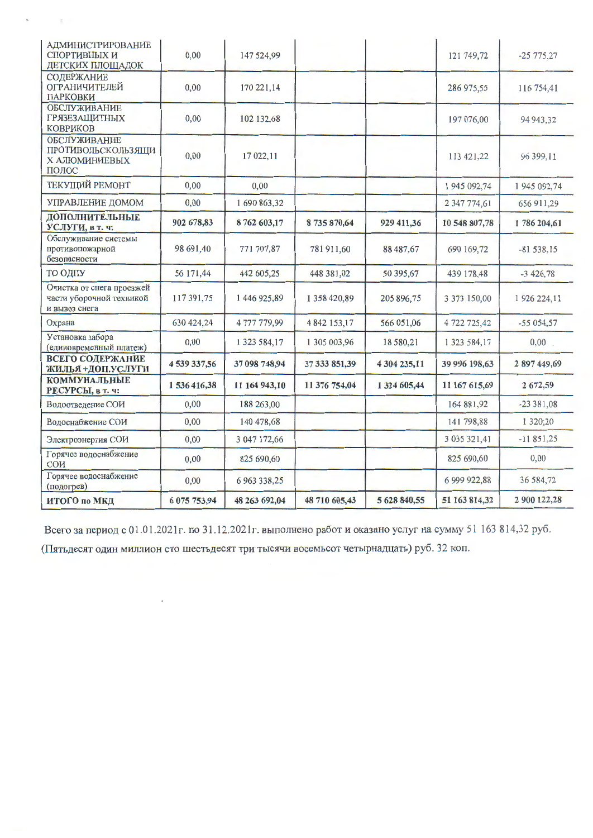| АДМИНИСТРИРОВАНИЕ<br>СПОРТИВНЫХ И<br>ДЕТСКИХ ПЛОЩАДОК                  | 0,00         | 147 524,99    |               |              | 121 749,72    | $-25775,27$   |
|------------------------------------------------------------------------|--------------|---------------|---------------|--------------|---------------|---------------|
| СОДЕРЖАНИЕ<br><b>ОГРАНИЧИТЕЛЕЙ</b><br>ПАРКОВКИ                         | 0,00         | 170 221,14    |               |              | 286 975,55    | 116 754,41    |
| <b>ОБСЛУЖИВАНИЕ</b><br><b>ГРЯЗЕЗАЩИТНЫХ</b><br><b>КОВРИКОВ</b>         | 0,00         | 102 132,68    |               |              | 197 076,00    | 94 943,32     |
| <b>ОБСЛУЖИВАНИЕ</b><br>ПРОТИВОЛЬСКОЛЬЗЯЩИ<br>Х АЛЮМИНИЕВЫХ<br>ПОЛОС    | 0,00         | 17 022,11     |               |              | 113 421,22    | 96 399,11     |
| <b>ТЕКУЩИЙ РЕМОНТ</b>                                                  | 0,00         | 0,00          |               |              | 1945 092,74   | 1 945 092,74  |
| УПРАВЛЕНИЕ ДОМОМ                                                       | 0,00         | 1690863,32    |               |              | 2 347 774,61  | 656 911,29    |
| ДОПОЛНИТЕЛЬНЫЕ<br>УСЛУГИ, в т. ч:                                      | 902 678,83   | 8762 603,17   | 8735870,64    | 929 411,36   | 10 548 807,78 | 1786 204,61   |
| Обслуживание системы<br>противопожарной<br>безопасности                | 98 691,40    | 771 707,87    | 781 911,60    | 88 487,67    | 690 169,72    | $-81538,15$   |
| ТО ОДПУ                                                                | 56 171,44    | 442 605,25    | 448 381,02    | 50 395,67    | 439 178,48    | $-3426,78$    |
| Очистка от снега проезжей<br>части уборочной техникой<br>и вывоз снега | 117 391,75   | 1446925,89    | 1358420,89    | 205 896,75   | 3 373 150,00  | 1 926 224,11  |
| Охрана                                                                 | 630 424,24   | 4777779,99    | 4 842 153,17  | 566 051,06   | 4 722 725,42  | $-55054,57$   |
| Установка забора<br>(единовременный платеж)                            | 0,00         | 1 323 584,17  | 1 305 003,96  | 18 580,21    | 1 323 584,17  | 0,00          |
| <b>ВСЕГО СОДЕРЖАНИЕ</b><br>ЖИЛЬЯ +ДОП.УСЛУГИ                           | 4 539 337,56 | 37 098 748,94 | 37 333 851,39 | 4 304 235,11 | 39 996 198,63 | 2897449,69    |
| <b>КОММУНАЛЬНЫЕ</b><br>РЕСУРСЫ, в т. ч:                                | 1 536 416,38 | 11 164 943,10 | 11 376 754,04 | 1 324 605,44 | 11 167 615,69 | 2672,59       |
| Водоотведение СОИ                                                      | 0,00         | 188 263,00    |               |              | 164 881,92    | $-23381,08$   |
| Водоснабжение СОИ                                                      | 0,00         | 140 478,68    |               |              | 141 798,88    | 1 3 2 0 ; 2 0 |
| Электроэнергия СОИ                                                     | 0,00         | 3 047 172,66  |               |              | 3 035 321,41  | $-11851,25$   |
| Горячее водоснабжение<br>СОИ                                           | 0,00         | 825 690,60    |               |              | 825 690,60    | 0,00          |
| Горячее водоснабжение<br>(подогрев)                                    | 0,00         | 6 963 338,25  |               |              | 6 999 922,88  | 36 584,72     |
| ИТОГО по МКД                                                           | 6 075 753,94 | 48 263 692,04 | 48 710 605,43 | 5 628 840,55 | 51 163 814,32 | 2 900 122,28  |

Всего за период с 01.01.2021г. по 31.12.2021г. выполнено работ и оказано услуг на сумму 51 163 814,32 руб.

(Пятьдесят один миллион сто шестьдесят три тысячи восемьсот четырнадцать) руб. 32 коп.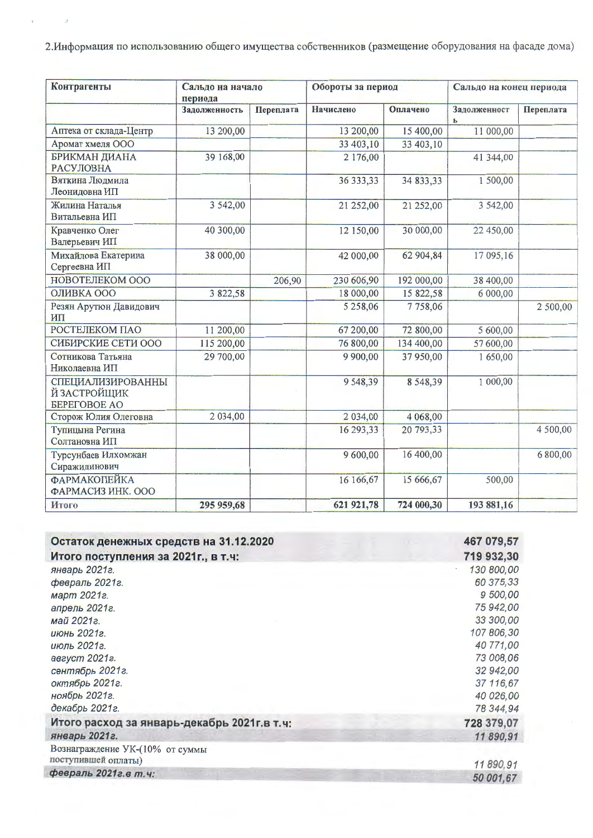2. Информация по использованию общего имущества собственников (размещение оборудования на фасаде дома)

 $\hat{J}$ 

 $\bar{t}$ 

| Контрагенты                                                     | Сальдо на начало<br>периода |           | Обороты за период |            | Сальдо на конец периода |           |
|-----------------------------------------------------------------|-----------------------------|-----------|-------------------|------------|-------------------------|-----------|
|                                                                 | Задолженность               | Переплата | Начислено         | Оплачено   | Задолженност<br>ь       | Переплата |
| Аптека от склада-Центр                                          | 13 200,00                   |           | 13 200,00         | 15 400,00  | 11 000,00               |           |
| Аромат хмеля ООО                                                |                             |           | 33 403,10         | 33 403,10  |                         |           |
| <b>БРИКМАН ДИАНА</b><br><b>РАСУЛОВНА</b>                        | 39 168,00                   |           | 2 176,00          |            | 41 344,00               |           |
| Вяткина Людмила<br>Леонидовна ИП                                |                             |           | 36 333,33         | 34 833,33  | 1 500,00                |           |
| Жилина Наталья<br>Витальевна ИП                                 | 3 542,00                    |           | 21 252,00         | 21 252,00  | 3 542,00                |           |
| Кравченко Олег<br>Валерьевич ИП                                 | 40 300,00                   |           | 12 150,00         | 30 000,00  | 22 450,00               |           |
| Михайлова Екатерина<br>Сергеевна ИП                             | 38 000,00                   |           | 42 000,00         | 62 904,84  | 17 095,16               |           |
| НОВОТЕЛЕКОМ ООО                                                 |                             | 206,90    | 230 606,90        | 192 000,00 | 38 400,00               |           |
| ОЛИВКА ООО                                                      | 3 822,58                    |           | 18 000,00         | 15 822,58  | 6 000,00                |           |
| Резян Арутюн Давидович<br>ИП                                    |                             |           | 5 258,06          | 7758,06    |                         | 2 500,00  |
| РОСТЕЛЕКОМ ПАО                                                  | 11 200,00                   |           | 67 200,00         | 72 800,00  | 5 600,00                |           |
| СИБИРСКИЕ СЕТИ ООО                                              | 115 200,00                  |           | 76 800,00         | 134 400,00 | 57 600,00               |           |
| Сотникова Татьяна<br>Николаевна ИП                              | 29 700,00                   |           | 9 900,00          | 37 950,00  | 1650,00                 |           |
| СПЕЦИАЛИЗИРОВАННЫ<br>Й ЗАСТРОЙЩИК<br><b><i>GEPEFOBOE AO</i></b> |                             |           | 9548,39           | 8548,39    | 1 000,00                |           |
| Сторож Юлия Олеговна                                            | 2 034,00                    |           | 2 034,00          | 4 068,00   |                         |           |
| Тупицына Регина<br>Солтановна ИП                                |                             |           | 16 293,33         | 20 793,33  |                         | 4 500,00  |
| Турсунбаев Илхомжан<br>Сиражидинович                            |                             |           | 9600,00           | 16 400,00  |                         | 6 800,00  |
| ФАРМАКОПЕЙКА<br>ФАРМАСИЗ ИНК. ООО                               |                             |           | 16 166,67         | 15 666,67  | 500,00                  |           |
| Итого                                                           | 295 959,68                  |           | 621 921,78        | 724 000,30 | 193 881,16              |           |

| Остаток денежных средств на 31.12.2020      | 467 079,57 |
|---------------------------------------------|------------|
| Итого поступления за 2021г., в т.ч:         | 719 932,30 |
| январь 2021г.                               | 130 800,00 |
| февраль 2021г.                              | 60 375,33  |
| март 2021г.                                 | 9 500,00   |
| апрель 2021г.                               | 75 942,00  |
| май 2021г.                                  | 33 300,00  |
| июнь 2021г.                                 | 107 806,30 |
| июль 2021г.                                 | 40 771,00  |
| август 2021г.                               | 73 008,06  |
| сентябрь 2021г.                             | 32 942,00  |
| октябрь 2021г.                              | 37 116,67  |
| ноябрь 2021г.                               | 40 026,00  |
| декабрь 2021г.                              | 78 344,94  |
| Итого расход за январь-декабрь 2021г.в т.ч. | 728 379,07 |
| январь 2021г.                               | 11890,91   |
| Вознаграждение УК-(10% от суммы             |            |
| поступившей оплаты)                         | 11890.91   |
| февраль 2021г. в т.ч:                       | 50 001.67  |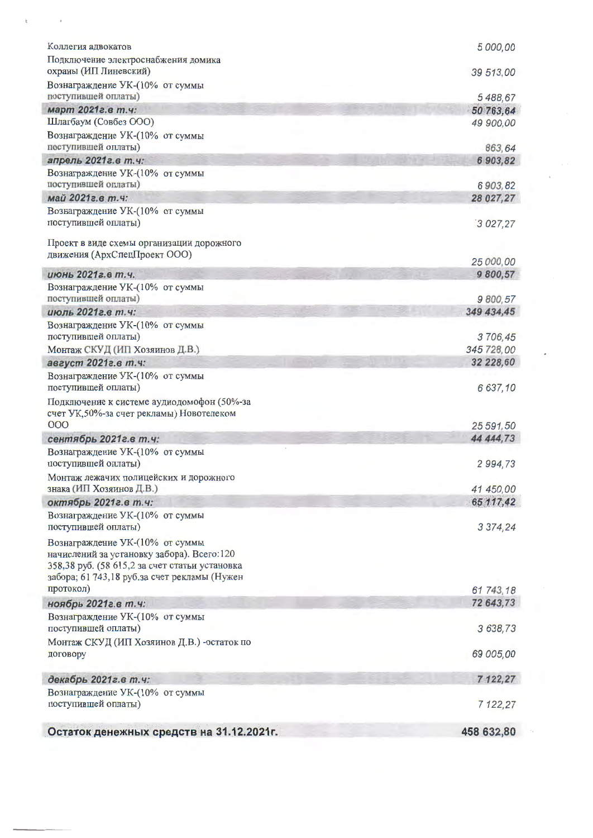| Коллегия адвокатов                                                                                                              | 5 000,00               |
|---------------------------------------------------------------------------------------------------------------------------------|------------------------|
| Подключение электроснабжения домика                                                                                             |                        |
| охраны (ИП Линевский)                                                                                                           | 39 513,00              |
| Вознаграждение УК-(10% от суммы<br>поступившей оплаты)                                                                          |                        |
| март 2021г. в т.ч:                                                                                                              | 5 488,67               |
| Шлагбаум (Совбез ООО)                                                                                                           | 50 763,64<br>49 900,00 |
| Вознаграждение УК-(10% от суммы                                                                                                 |                        |
| поступившей оплаты)                                                                                                             | 863,64                 |
| апрель 2021г. в т.ч.                                                                                                            | 6903,82                |
| Вознаграждение УК-(10% от суммы                                                                                                 |                        |
| поступившей оплаты)                                                                                                             | 6903,82                |
| май 2021г. в т.ч.                                                                                                               | 28 027,27              |
| Вознаграждение УК-(10% от суммы<br>поступившей оплаты)                                                                          | 3 027,27               |
| Проект в виде схемы организации дорожного                                                                                       |                        |
| движения (АрхСпецПроект ООО)                                                                                                    | 25 000,00              |
| июнь 2021г. в т.ч.                                                                                                              | 9 800,57               |
| Вознаграждение УК-(10% от суммы                                                                                                 |                        |
| поступившей оплаты)                                                                                                             | 9 800,57               |
| июль 2021г.е т.ч:                                                                                                               | 349 434,45             |
| Вознаграждение УК-(10% от суммы                                                                                                 |                        |
| поступившей оплаты)                                                                                                             | 3706,45                |
| Монтаж СКУД (ИП Хозяинов Д.В.)                                                                                                  | 345 728,00             |
| август 2021г. в т.ч:                                                                                                            | 32 228,60              |
| Вознаграждение УК-(10% от суммы<br>поступившей оплаты)                                                                          | 6 637,10               |
| Подключение к системе аудиодомофон (50%-за<br>счет УК, 50%-за счет рекламы) Новотелеком                                         |                        |
| 000                                                                                                                             | 25 591,50              |
| сентябрь 2021г. в т.ч:                                                                                                          | 44 444,73              |
| Вознаграждение УК-(10% от суммы<br>поступившей оплаты)                                                                          | 2 994,73               |
| Монтаж лежачих полицейских и дорожного                                                                                          |                        |
| знака (ИП Хозяинов Д.В.)                                                                                                        | 41 450,00              |
| октябрь 2021г. в т.ч:                                                                                                           | 65 117,42              |
| Вознаграждение УК-(10% от суммы<br>поступившей оплаты)                                                                          | 3 3 7 4 , 2 4          |
| Вознаграждение УК-(10% от суммы<br>начислений за установку забора). Всего:120<br>358,38 руб. (58 615,2 за счет статьи установка |                        |
| забора; 61 743,18 руб.за счет рекламы (Нужен                                                                                    |                        |
| протокол)                                                                                                                       | 61 743,18              |
| ноябрь 2021г. в т.ч:                                                                                                            | 72 643,73              |
| Вознаграждение УК-(10% от суммы<br>поступившей оплаты)                                                                          | 3 638,73               |
| Монтаж СКУД (ИП Хозяинов Д.В.) -остаток по<br>договору                                                                          | 69 005,00              |
| декабрь 2021г. в т.ч:                                                                                                           | 7 122,27               |
| Вознаграждение УК-(10% от суммы<br>поступившей оплаты)                                                                          | 7 122,27               |
| Остаток денежных средств на 31.12.2021г.                                                                                        | 458 632,80             |
|                                                                                                                                 |                        |